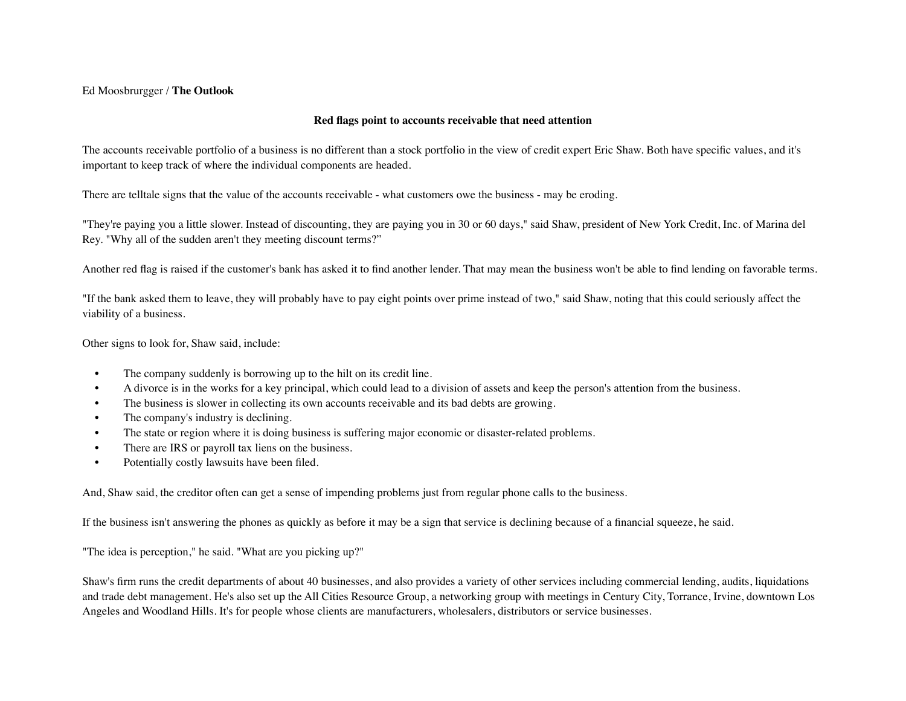## Ed Moosbrurgger / **The Outlook**

## **Red flags point to accounts receivable that need attention**

The accounts receivable portfolio of a business is no different than a stock portfolio in the view of credit expert Eric Shaw. Both have specific values, and it's important to keep track of where the individual components are headed.

There are telltale signs that the value of the accounts receivable - what customers owe the business - may be eroding.

"They're paying you a little slower. Instead of discounting, they are paying you in 30 or 60 days," said Shaw, president of New York Credit, Inc. of Marina del Rey. "Why all of the sudden aren't they meeting discount terms?"

Another red flag is raised if the customer's bank has asked it to find another lender. That may mean the business won't be able to find lending on favorable terms.

"If the bank asked them to leave, they will probably have to pay eight points over prime instead of two," said Shaw, noting that this could seriously affect the viability of a business.

Other signs to look for, Shaw said, include:

- The company suddenly is borrowing up to the hilt on its credit line.
- A divorce is in the works for a key principal, which could lead to a division of assets and keep the person's attention from the business.
- The business is slower in collecting its own accounts receivable and its bad debts are growing.
- The company's industry is declining.
- The state or region where it is doing business is suffering major economic or disaster-related problems.
- There are IRS or payroll tax liens on the business.
- Potentially costly lawsuits have been filed.

And, Shaw said, the creditor often can get a sense of impending problems just from regular phone calls to the business.

If the business isn't answering the phones as quickly as before it may be a sign that service is declining because of a financial squeeze, he said.

"The idea is perception," he said. "What are you picking up?"

Shaw's firm runs the credit departments of about 40 businesses, and also provides a variety of other services including commercial lending, audits, liquidations and trade debt management. He's also set up the All Cities Resource Group, a networking group with meetings in Century City, Torrance, Irvine, downtown Los Angeles and Woodland Hills. It's for people whose clients are manufacturers, wholesalers, distributors or service businesses.